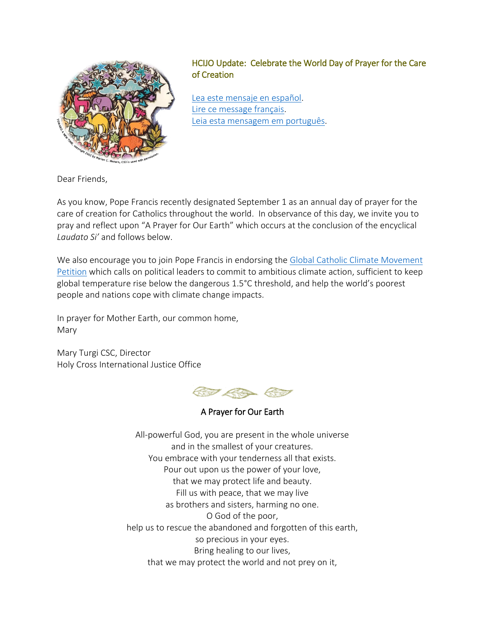

## HCIJO Update: Celebrate the World Day of Prayer for the Care of Creation

[Lea este mensaje en español.](http://www.holycrossjustice.org/resources/HCIJO%20Document%20Library/2015Sept1_world_day_prayer_careofcreation_esp.pdf) [Lire ce message français.](http://www.holycrossjustice.org/resources/HCIJO%20Document%20Library/2015Sept1_world_day_prayer_careofcreation_fr.pdf) [Leia esta mensagem em português.](http://www.holycrossjustice.org/resources/HCIJO%20Document%20Library/2015Sept1_world_day_prayer_careofcreation_port.pdf)

Dear Friends,

As you know, Pope Francis recently designated September 1 as an annual day of prayer for the care of creation for Catholics throughout the world. In observance of this day, we invite you to pray and reflect upon "A Prayer for Our Earth" which occurs at the conclusion of the encyclical *Laudato Si'* and follows below.

We also encourage you to join Pope Francis in endorsing the [Global Catholic Climate Movement](http://catholicclimatemovement.global/petition/)  [Petition](http://catholicclimatemovement.global/petition/) which calls on political leaders to commit to ambitious climate action, sufficient to keep global temperature rise below the dangerous 1.5°C threshold, and help the world's poorest people and nations cope with climate change impacts.

In prayer for Mother Earth, our common home, Mary

Mary Turgi CSC, Director Holy Cross International Justice Office



A Prayer for Our Earth

All-powerful God, you are present in the whole universe and in the smallest of your creatures. You embrace with your tenderness all that exists. Pour out upon us the power of your love, that we may protect life and beauty. Fill us with peace, that we may live as brothers and sisters, harming no one. O God of the poor, help us to rescue the abandoned and forgotten of this earth, so precious in your eyes. Bring healing to our lives, that we may protect the world and not prey on it,